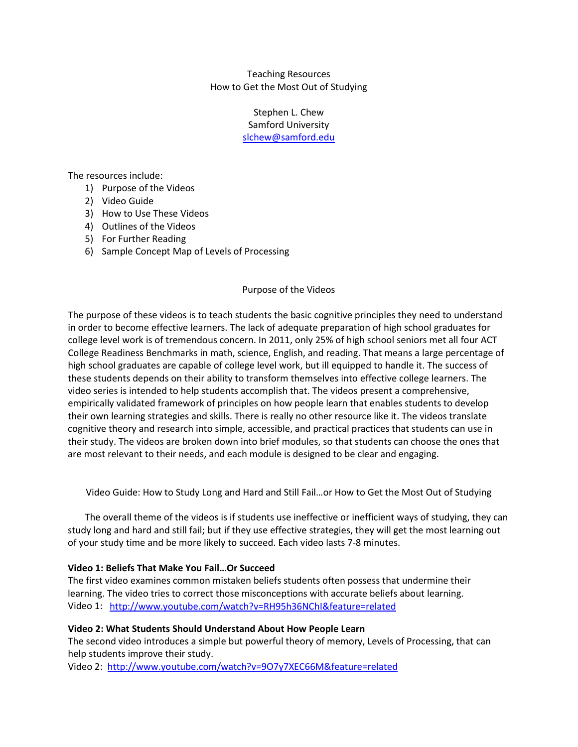Teaching Resources How to Get the Most Out of Studying

> Stephen L. Chew Samford University [slchew@samford.edu](mailto:slchew@samford.edu)

The resources include:

- 1) Purpose of the Videos
- 2) Video Guide
- 3) How to Use These Videos
- 4) Outlines of the Videos
- 5) For Further Reading
- 6) Sample Concept Map of Levels of Processing

### Purpose of the Videos

The purpose of these videos is to teach students the basic cognitive principles they need to understand in order to become effective learners. The lack of adequate preparation of high school graduates for college level work is of tremendous concern. In 2011, only 25% of high school seniors met all four ACT College Readiness Benchmarks in math, science, English, and reading. That means a large percentage of high school graduates are capable of college level work, but ill equipped to handle it. The success of these students depends on their ability to transform themselves into effective college learners. The video series is intended to help students accomplish that. The videos present a comprehensive, empirically validated framework of principles on how people learn that enables students to develop their own learning strategies and skills. There is really no other resource like it. The videos translate cognitive theory and research into simple, accessible, and practical practices that students can use in their study. The videos are broken down into brief modules, so that students can choose the ones that are most relevant to their needs, and each module is designed to be clear and engaging.

Video Guide: How to Study Long and Hard and Still Fail…or How to Get the Most Out of Studying

The overall theme of the videos is if students use ineffective or inefficient ways of studying, they can study long and hard and still fail; but if they use effective strategies, they will get the most learning out of your study time and be more likely to succeed. Each video lasts 7-8 minutes.

### **Video 1: Beliefs That Make You Fail…Or Succeed**

The first video examines common mistaken beliefs students often possess that undermine their learning. The video tries to correct those misconceptions with accurate beliefs about learning. Video 1: <http://www.youtube.com/watch?v=RH95h36NChI&feature=related>

### **Video 2: What Students Should Understand About How People Learn**

The second video introduces a simple but powerful theory of memory, Levels of Processing, that can help students improve their study.

Video 2: <http://www.youtube.com/watch?v=9O7y7XEC66M&feature=related>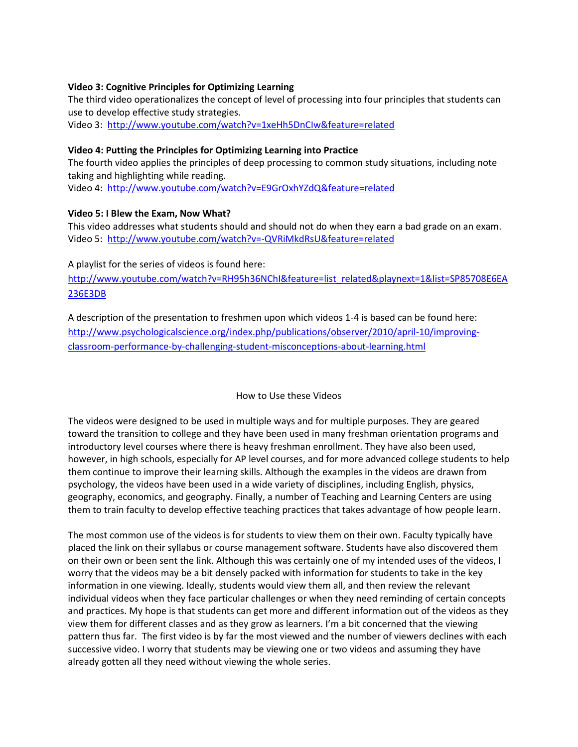### **Video 3: Cognitive Principles for Optimizing Learning**

The third video operationalizes the concept of level of processing into four principles that students can use to develop effective study strategies.

Video 3: <http://www.youtube.com/watch?v=1xeHh5DnCIw&feature=related>

### **Video 4: Putting the Principles for Optimizing Learning into Practice**

The fourth video applies the principles of deep processing to common study situations, including note taking and highlighting while reading.

Video 4: <http://www.youtube.com/watch?v=E9GrOxhYZdQ&feature=related>

# **Video 5: I Blew the Exam, Now What?**

This video addresses what students should and should not do when they earn a bad grade on an exam. Video 5: <http://www.youtube.com/watch?v=-QVRiMkdRsU&feature=related>

A playlist for the series of videos is found here:

[http://www.youtube.com/watch?v=RH95h36NChI&feature=list\\_related&playnext=1&list=SP85708E6EA](http://www.youtube.com/watch?v=RH95h36NChI&feature=list_related&playnext=1&list=SP85708E6EA236E3DB) [236E3DB](http://www.youtube.com/watch?v=RH95h36NChI&feature=list_related&playnext=1&list=SP85708E6EA236E3DB)

A description of the presentation to freshmen upon which videos 1-4 is based can be found here: [http://www.psychologicalscience.org/index.php/publications/observer/2010/april-10/improving](http://www.psychologicalscience.org/index.php/publications/observer/2010/april-10/improving-classroom-performance-by-challenging-student-misconceptions-about-learning.html)[classroom-performance-by-challenging-student-misconceptions-about-learning.html](http://www.psychologicalscience.org/index.php/publications/observer/2010/april-10/improving-classroom-performance-by-challenging-student-misconceptions-about-learning.html)

### How to Use these Videos

The videos were designed to be used in multiple ways and for multiple purposes. They are geared toward the transition to college and they have been used in many freshman orientation programs and introductory level courses where there is heavy freshman enrollment. They have also been used, however, in high schools, especially for AP level courses, and for more advanced college students to help them continue to improve their learning skills. Although the examples in the videos are drawn from psychology, the videos have been used in a wide variety of disciplines, including English, physics, geography, economics, and geography. Finally, a number of Teaching and Learning Centers are using them to train faculty to develop effective teaching practices that takes advantage of how people learn.

The most common use of the videos is for students to view them on their own. Faculty typically have placed the link on their syllabus or course management software. Students have also discovered them on their own or been sent the link. Although this was certainly one of my intended uses of the videos, I worry that the videos may be a bit densely packed with information for students to take in the key information in one viewing. Ideally, students would view them all, and then review the relevant individual videos when they face particular challenges or when they need reminding of certain concepts and practices. My hope is that students can get more and different information out of the videos as they view them for different classes and as they grow as learners. I'm a bit concerned that the viewing pattern thus far. The first video is by far the most viewed and the number of viewers declines with each successive video. I worry that students may be viewing one or two videos and assuming they have already gotten all they need without viewing the whole series.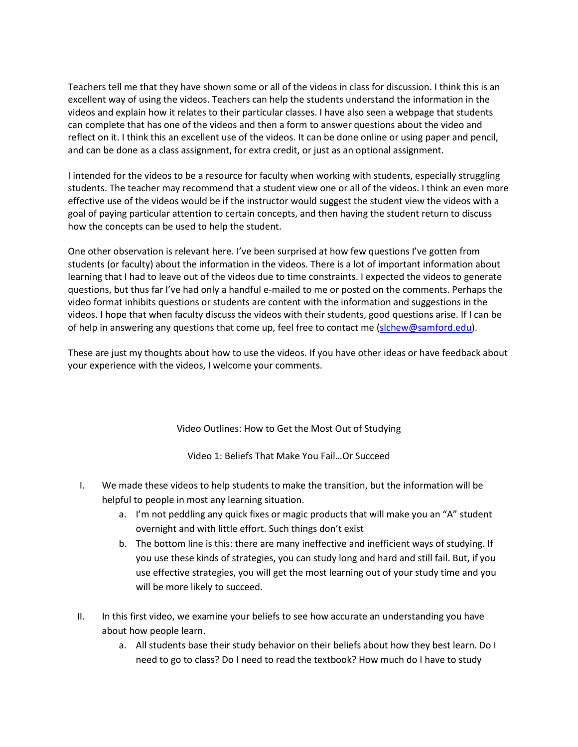Teachers tell me that they have shown some or all of the videos in class for discussion. I think this is an excellent way of using the videos. Teachers can help the students understand the information in the videos and explain how it relates to their particular classes. I have also seen a webpage that students can complete that has one of the videos and then a form to answer questions about the video and reflect on it. I think this an excellent use of the videos. It can be done online or using paper and pencil, and can be done as a class assignment, for extra credit, or just as an optional assignment.

I intended for the videos to be a resource for faculty when working with students, especially struggling students. The teacher may recommend that a student view one or all of the videos. I think an even more effective use of the videos would be if the instructor would suggest the student view the videos with a goal of paying particular attention to certain concepts, and then having the student return to discuss how the concepts can be used to help the student.

One other observation is relevant here. I've been surprised at how few questions I've gotten from students (or faculty) about the information in the videos. There is a lot of important information about learning that I had to leave out of the videos due to time constraints. I expected the videos to generate questions, but thus far I've had only a handful e-mailed to me or posted on the comments. Perhaps the video format inhibits questions or students are content with the information and suggestions in the videos. I hope that when faculty discuss the videos with their students, good questions arise. If I can be of help in answering any questions that come up, feel free to contact me [\(slchew@samford.edu\)](mailto:slchew@samford.edu).

These are just my thoughts about how to use the videos. If you have other ideas or have feedback about your experience with the videos, I welcome your comments.

### Video Outlines: How to Get the Most Out of Studying

Video 1: Beliefs That Make You Fail…Or Succeed

- I. We made these videos to help students to make the transition, but the information will be helpful to people in most any learning situation.
	- a. I'm not peddling any quick fixes or magic products that will make you an "A" student overnight and with little effort. Such things don't exist
	- b. The bottom line is this: there are many ineffective and inefficient ways of studying. If you use these kinds of strategies, you can study long and hard and still fail. But, if you use effective strategies, you will get the most learning out of your study time and you will be more likely to succeed.
- II. In this first video, we examine your beliefs to see how accurate an understanding you have about how people learn.
	- a. All students base their study behavior on their beliefs about how they best learn. Do I need to go to class? Do I need to read the textbook? How much do I have to study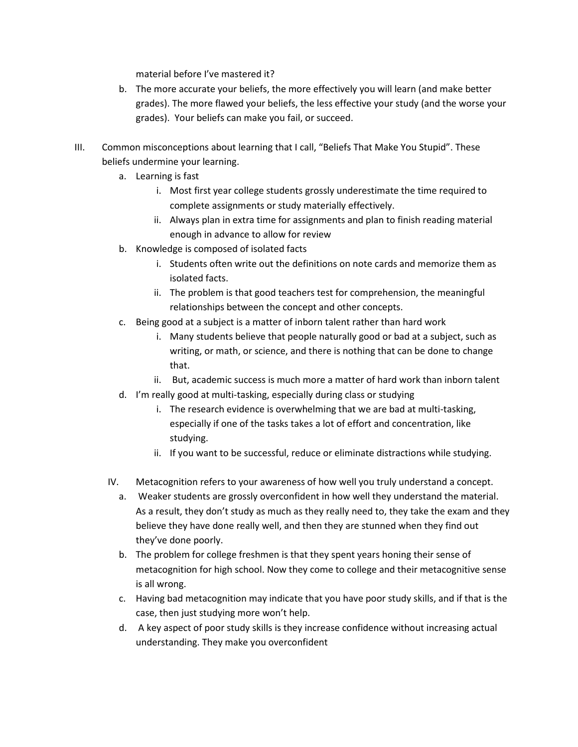material before I've mastered it?

- b. The more accurate your beliefs, the more effectively you will learn (and make better grades). The more flawed your beliefs, the less effective your study (and the worse your grades). Your beliefs can make you fail, or succeed.
- III. Common misconceptions about learning that I call, "Beliefs That Make You Stupid". These beliefs undermine your learning.
	- a. Learning is fast
		- i. Most first year college students grossly underestimate the time required to complete assignments or study materially effectively.
		- ii. Always plan in extra time for assignments and plan to finish reading material enough in advance to allow for review
	- b. Knowledge is composed of isolated facts
		- i. Students often write out the definitions on note cards and memorize them as isolated facts.
		- ii. The problem is that good teachers test for comprehension, the meaningful relationships between the concept and other concepts.
	- c. Being good at a subject is a matter of inborn talent rather than hard work
		- i. Many students believe that people naturally good or bad at a subject, such as writing, or math, or science, and there is nothing that can be done to change that.
		- ii. But, academic success is much more a matter of hard work than inborn talent
	- d. I'm really good at multi-tasking, especially during class or studying
		- i. The research evidence is overwhelming that we are bad at multi-tasking, especially if one of the tasks takes a lot of effort and concentration, like studying.
		- ii. If you want to be successful, reduce or eliminate distractions while studying.
	- IV. Metacognition refers to your awareness of how well you truly understand a concept.
		- a. Weaker students are grossly overconfident in how well they understand the material. As a result, they don't study as much as they really need to, they take the exam and they believe they have done really well, and then they are stunned when they find out they've done poorly.
		- b. The problem for college freshmen is that they spent years honing their sense of metacognition for high school. Now they come to college and their metacognitive sense is all wrong.
		- c. Having bad metacognition may indicate that you have poor study skills, and if that is the case, then just studying more won't help.
		- d. A key aspect of poor study skills is they increase confidence without increasing actual understanding. They make you overconfident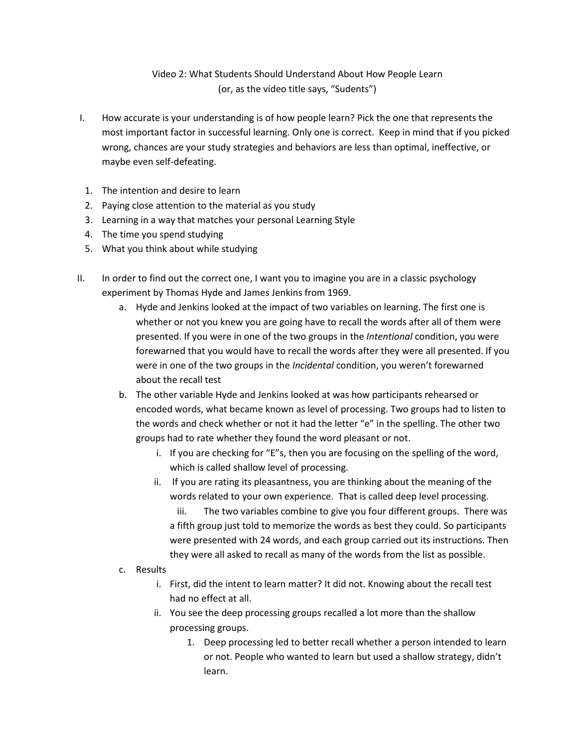# Video 2: What Students Should Understand About How People Learn (or, as the video title says, "Sudents")

- I. How accurate is your understanding is of how people learn? Pick the one that represents the most important factor in successful learning. Only one is correct. Keep in mind that if you picked wrong, chances are your study strategies and behaviors are less than optimal, ineffective, or maybe even self-defeating.
	- 1. The intention and desire to learn
	- 2. Paying close attention to the material as you study
	- 3. Learning in a way that matches your personal Learning Style
- 4. The time you spend studying
- 5. What you think about while studying
- II. In order to find out the correct one, I want you to imagine you are in a classic psychology experiment by Thomas Hyde and James Jenkins from 1969.
	- a. Hyde and Jenkins looked at the impact of two variables on learning. The first one is whether or not you knew you are going have to recall the words after all of them were presented. If you were in one of the two groups in the *Intentional* condition, you were forewarned that you would have to recall the words after they were all presented. If you were in one of the two groups in the *Incidental* condition, you weren't forewarned about the recall test
	- b. The other variable Hyde and Jenkins looked at was how participants rehearsed or encoded words, what became known as level of processing. Two groups had to listen to the words and check whether or not it had the letter "e" in the spelling. The other two groups had to rate whether they found the word pleasant or not.
		- i. If you are checking for "E"s, then you are focusing on the spelling of the word, which is called shallow level of processing.
		- ii. If you are rating its pleasantness, you are thinking about the meaning of the words related to your own experience. That is called deep level processing. iii. The two variables combine to give you four different groups. There was a fifth group just told to memorize the words as best they could. So participants were presented with 24 words, and each group carried out its instructions. Then
	- c. Results
		- i. First, did the intent to learn matter? It did not. Knowing about the recall test had no effect at all.

they were all asked to recall as many of the words from the list as possible.

- ii. You see the deep processing groups recalled a lot more than the shallow processing groups.
	- 1. Deep processing led to better recall whether a person intended to learn or not. People who wanted to learn but used a shallow strategy, didn't learn.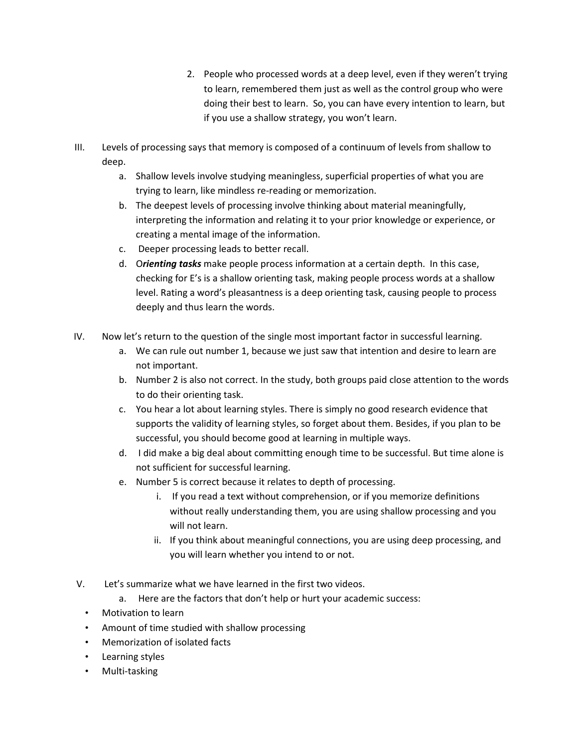- 2. People who processed words at a deep level, even if they weren't trying to learn, remembered them just as well as the control group who were doing their best to learn. So, you can have every intention to learn, but if you use a shallow strategy, you won't learn.
- III. Levels of processing says that memory is composed of a continuum of levels from shallow to deep.
	- a. Shallow levels involve studying meaningless, superficial properties of what you are trying to learn, like mindless re-reading or memorization.
	- b. The deepest levels of processing involve thinking about material meaningfully, interpreting the information and relating it to your prior knowledge or experience, or creating a mental image of the information.
	- c. Deeper processing leads to better recall.
	- d. O*rienting tasks* make people process information at a certain depth. In this case, checking for E's is a shallow orienting task, making people process words at a shallow level. Rating a word's pleasantness is a deep orienting task, causing people to process deeply and thus learn the words.
- IV. Now let's return to the question of the single most important factor in successful learning.
	- a. We can rule out number 1, because we just saw that intention and desire to learn are not important.
	- b. Number 2 is also not correct. In the study, both groups paid close attention to the words to do their orienting task.
	- c. You hear a lot about learning styles. There is simply no good research evidence that supports the validity of learning styles, so forget about them. Besides, if you plan to be successful, you should become good at learning in multiple ways.
	- d. I did make a big deal about committing enough time to be successful. But time alone is not sufficient for successful learning.
	- e. Number 5 is correct because it relates to depth of processing.
		- i. If you read a text without comprehension, or if you memorize definitions without really understanding them, you are using shallow processing and you will not learn.
		- ii. If you think about meaningful connections, you are using deep processing, and you will learn whether you intend to or not.
- V. Let's summarize what we have learned in the first two videos.
	- a. Here are the factors that don't help or hurt your academic success:
	- Motivation to learn
	- Amount of time studied with shallow processing
	- Memorization of isolated facts
	- Learning styles
	- Multi-tasking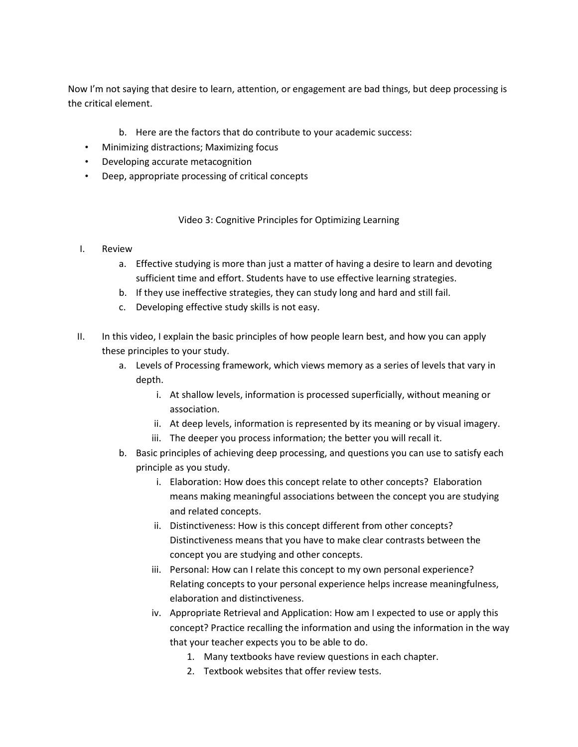Now I'm not saying that desire to learn, attention, or engagement are bad things, but deep processing is the critical element.

- b. Here are the factors that do contribute to your academic success:
- Minimizing distractions; Maximizing focus
- Developing accurate metacognition
- Deep, appropriate processing of critical concepts

Video 3: Cognitive Principles for Optimizing Learning

# I. Review

- a. Effective studying is more than just a matter of having a desire to learn and devoting sufficient time and effort. Students have to use effective learning strategies.
- b. If they use ineffective strategies, they can study long and hard and still fail.
- c. Developing effective study skills is not easy.
- II. In this video, I explain the basic principles of how people learn best, and how you can apply these principles to your study.
	- a. Levels of Processing framework, which views memory as a series of levels that vary in depth.
		- i. At shallow levels, information is processed superficially, without meaning or association.
		- ii. At deep levels, information is represented by its meaning or by visual imagery.
		- iii. The deeper you process information; the better you will recall it.
	- b. Basic principles of achieving deep processing, and questions you can use to satisfy each principle as you study.
		- i. Elaboration: How does this concept relate to other concepts? Elaboration means making meaningful associations between the concept you are studying and related concepts.
		- ii. Distinctiveness: How is this concept different from other concepts? Distinctiveness means that you have to make clear contrasts between the concept you are studying and other concepts.
		- iii. Personal: How can I relate this concept to my own personal experience? Relating concepts to your personal experience helps increase meaningfulness, elaboration and distinctiveness.
		- iv. Appropriate Retrieval and Application: How am I expected to use or apply this concept? Practice recalling the information and using the information in the way that your teacher expects you to be able to do.
			- 1. Many textbooks have review questions in each chapter.
			- 2. Textbook websites that offer review tests.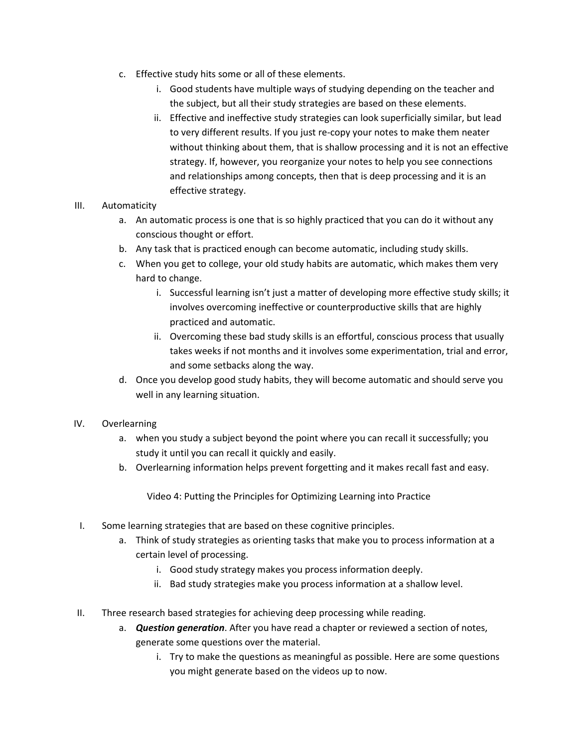- c. Effective study hits some or all of these elements.
	- i. Good students have multiple ways of studying depending on the teacher and the subject, but all their study strategies are based on these elements.
	- ii. Effective and ineffective study strategies can look superficially similar, but lead to very different results. If you just re-copy your notes to make them neater without thinking about them, that is shallow processing and it is not an effective strategy. If, however, you reorganize your notes to help you see connections and relationships among concepts, then that is deep processing and it is an effective strategy.

# III. Automaticity

- a. An automatic process is one that is so highly practiced that you can do it without any conscious thought or effort.
- b. Any task that is practiced enough can become automatic, including study skills.
- c. When you get to college, your old study habits are automatic, which makes them very hard to change.
	- i. Successful learning isn't just a matter of developing more effective study skills; it involves overcoming ineffective or counterproductive skills that are highly practiced and automatic.
	- ii. Overcoming these bad study skills is an effortful, conscious process that usually takes weeks if not months and it involves some experimentation, trial and error, and some setbacks along the way.
- d. Once you develop good study habits, they will become automatic and should serve you well in any learning situation.

### IV. Overlearning

- a. when you study a subject beyond the point where you can recall it successfully; you study it until you can recall it quickly and easily.
- b. Overlearning information helps prevent forgetting and it makes recall fast and easy.

Video 4: Putting the Principles for Optimizing Learning into Practice

- I. Some learning strategies that are based on these cognitive principles.
	- a. Think of study strategies as orienting tasks that make you to process information at a certain level of processing.
		- i. Good study strategy makes you process information deeply.
		- ii. Bad study strategies make you process information at a shallow level.
- II. Three research based strategies for achieving deep processing while reading.
	- a. *Question generation*. After you have read a chapter or reviewed a section of notes, generate some questions over the material.
		- i. Try to make the questions as meaningful as possible. Here are some questions you might generate based on the videos up to now.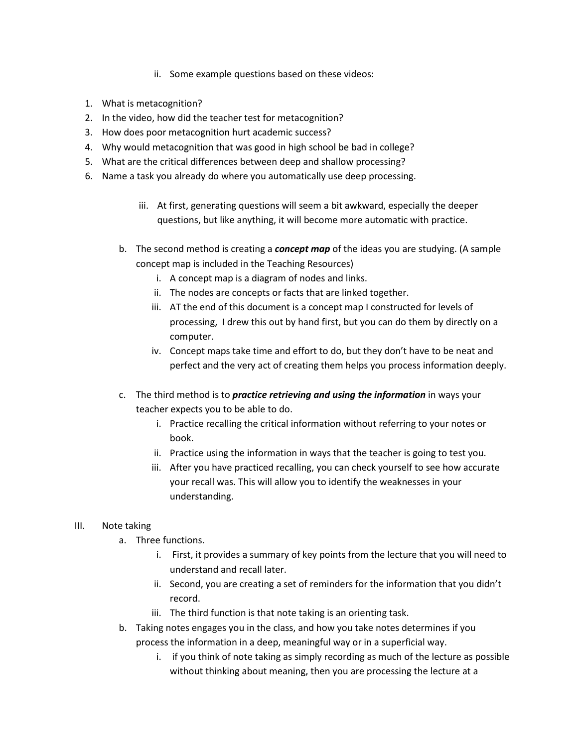- ii. Some example questions based on these videos:
- 1. What is metacognition?
- 2. In the video, how did the teacher test for metacognition?
- 3. How does poor metacognition hurt academic success?
- 4. Why would metacognition that was good in high school be bad in college?
- 5. What are the critical differences between deep and shallow processing?
- 6. Name a task you already do where you automatically use deep processing.
	- iii. At first, generating questions will seem a bit awkward, especially the deeper questions, but like anything, it will become more automatic with practice.
	- b. The second method is creating a *concept map* of the ideas you are studying. (A sample concept map is included in the Teaching Resources)
		- i. A concept map is a diagram of nodes and links.
		- ii. The nodes are concepts or facts that are linked together.
		- iii. AT the end of this document is a concept map I constructed for levels of processing, I drew this out by hand first, but you can do them by directly on a computer.
		- iv. Concept maps take time and effort to do, but they don't have to be neat and perfect and the very act of creating them helps you process information deeply.
	- c. The third method is to *practice retrieving and using the information* in ways your teacher expects you to be able to do.
		- i. Practice recalling the critical information without referring to your notes or book.
		- ii. Practice using the information in ways that the teacher is going to test you.
		- iii. After you have practiced recalling, you can check yourself to see how accurate your recall was. This will allow you to identify the weaknesses in your understanding.

### III. Note taking

- a. Three functions.
	- i. First, it provides a summary of key points from the lecture that you will need to understand and recall later.
	- ii. Second, you are creating a set of reminders for the information that you didn't record.
	- iii. The third function is that note taking is an orienting task.
- b. Taking notes engages you in the class, and how you take notes determines if you process the information in a deep, meaningful way or in a superficial way.
	- i. if you think of note taking as simply recording as much of the lecture as possible without thinking about meaning, then you are processing the lecture at a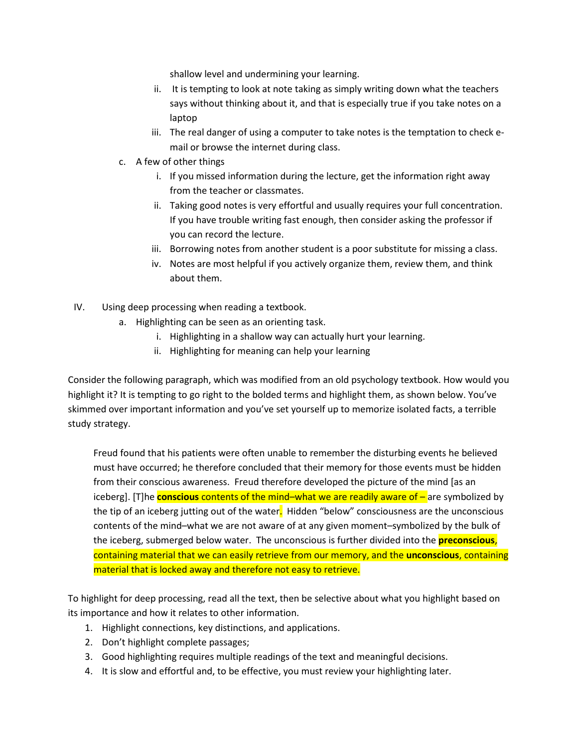shallow level and undermining your learning.

- ii. It is tempting to look at note taking as simply writing down what the teachers says without thinking about it, and that is especially true if you take notes on a laptop
- iii. The real danger of using a computer to take notes is the temptation to check email or browse the internet during class.
- c. A few of other things
	- i. If you missed information during the lecture, get the information right away from the teacher or classmates.
	- ii. Taking good notes is very effortful and usually requires your full concentration. If you have trouble writing fast enough, then consider asking the professor if you can record the lecture.
	- iii. Borrowing notes from another student is a poor substitute for missing a class.
	- iv. Notes are most helpful if you actively organize them, review them, and think about them.
- IV. Using deep processing when reading a textbook.
	- a. Highlighting can be seen as an orienting task.
		- i. Highlighting in a shallow way can actually hurt your learning.
		- ii. Highlighting for meaning can help your learning

Consider the following paragraph, which was modified from an old psychology textbook. How would you highlight it? It is tempting to go right to the bolded terms and highlight them, as shown below. You've skimmed over important information and you've set yourself up to memorize isolated facts, a terrible study strategy.

Freud found that his patients were often unable to remember the disturbing events he believed must have occurred; he therefore concluded that their memory for those events must be hidden from their conscious awareness. Freud therefore developed the picture of the mind [as an iceberg]. [T]he **conscious** contents of the mind–what we are readily aware of – are symbolized by the tip of an iceberg jutting out of the water. Hidden "below" consciousness are the unconscious contents of the mind–what we are not aware of at any given moment–symbolized by the bulk of the iceberg, submerged below water. The unconscious is further divided into the **preconscious**, containing material that we can easily retrieve from our memory, and the **unconscious**, containing material that is locked away and therefore not easy to retrieve.

To highlight for deep processing, read all the text, then be selective about what you highlight based on its importance and how it relates to other information.

- 1. Highlight connections, key distinctions, and applications.
- 2. Don't highlight complete passages;
- 3. Good highlighting requires multiple readings of the text and meaningful decisions.
- 4. It is slow and effortful and, to be effective, you must review your highlighting later.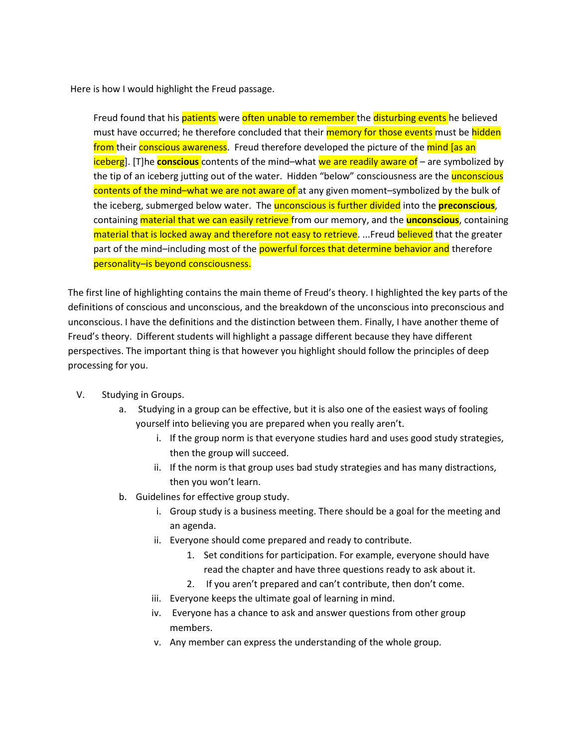Here is how I would highlight the Freud passage.

Freud found that his patients were often unable to remember the disturbing events he believed must have occurred; he therefore concluded that their memory for those events must be hidden from their conscious awareness. Freud therefore developed the picture of the mind [as an iceberg]. [T]he **conscious** contents of the mind–what we are readily aware of – are symbolized by the tip of an iceberg jutting out of the water. Hidden "below" consciousness are the *unconscious* contents of the mind–what we are not aware of at any given moment–symbolized by the bulk of the iceberg, submerged below water. The unconscious is further divided into the **preconscious**, containing material that we can easily retrieve from our memory, and the **unconscious**, containing material that is locked away and therefore not easy to retrieve. ... Freud believed that the greater part of the mind–including most of the **powerful forces that determine behavior and** therefore personality–is beyond consciousness.

The first line of highlighting contains the main theme of Freud's theory. I highlighted the key parts of the definitions of conscious and unconscious, and the breakdown of the unconscious into preconscious and unconscious. I have the definitions and the distinction between them. Finally, I have another theme of Freud's theory. Different students will highlight a passage different because they have different perspectives. The important thing is that however you highlight should follow the principles of deep processing for you.

- V. Studying in Groups.
	- a. Studying in a group can be effective, but it is also one of the easiest ways of fooling yourself into believing you are prepared when you really aren't.
		- i. If the group norm is that everyone studies hard and uses good study strategies, then the group will succeed.
		- ii. If the norm is that group uses bad study strategies and has many distractions, then you won't learn.
	- b. Guidelines for effective group study.
		- i. Group study is a business meeting. There should be a goal for the meeting and an agenda.
		- ii. Everyone should come prepared and ready to contribute.
			- 1. Set conditions for participation. For example, everyone should have read the chapter and have three questions ready to ask about it.
			- 2. If you aren't prepared and can't contribute, then don't come.
		- iii. Everyone keeps the ultimate goal of learning in mind.
		- iv. Everyone has a chance to ask and answer questions from other group members.
		- v. Any member can express the understanding of the whole group.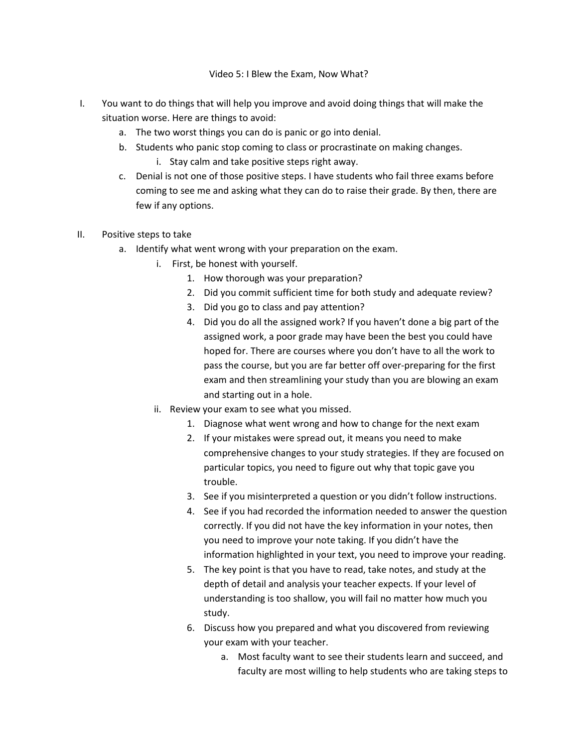### Video 5: I Blew the Exam, Now What?

- I. You want to do things that will help you improve and avoid doing things that will make the situation worse. Here are things to avoid:
	- a. The two worst things you can do is panic or go into denial.
	- b. Students who panic stop coming to class or procrastinate on making changes.
		- i. Stay calm and take positive steps right away.
	- c. Denial is not one of those positive steps. I have students who fail three exams before coming to see me and asking what they can do to raise their grade. By then, there are few if any options.
- II. Positive steps to take
	- a. Identify what went wrong with your preparation on the exam.
		- i. First, be honest with yourself.
			- 1. How thorough was your preparation?
			- 2. Did you commit sufficient time for both study and adequate review?
			- 3. Did you go to class and pay attention?
			- 4. Did you do all the assigned work? If you haven't done a big part of the assigned work, a poor grade may have been the best you could have hoped for. There are courses where you don't have to all the work to pass the course, but you are far better off over-preparing for the first exam and then streamlining your study than you are blowing an exam and starting out in a hole.
		- ii. Review your exam to see what you missed.
			- 1. Diagnose what went wrong and how to change for the next exam
			- 2. If your mistakes were spread out, it means you need to make comprehensive changes to your study strategies. If they are focused on particular topics, you need to figure out why that topic gave you trouble.
			- 3. See if you misinterpreted a question or you didn't follow instructions.
			- 4. See if you had recorded the information needed to answer the question correctly. If you did not have the key information in your notes, then you need to improve your note taking. If you didn't have the information highlighted in your text, you need to improve your reading.
			- 5. The key point is that you have to read, take notes, and study at the depth of detail and analysis your teacher expects. If your level of understanding is too shallow, you will fail no matter how much you study.
			- 6. Discuss how you prepared and what you discovered from reviewing your exam with your teacher.
				- a. Most faculty want to see their students learn and succeed, and faculty are most willing to help students who are taking steps to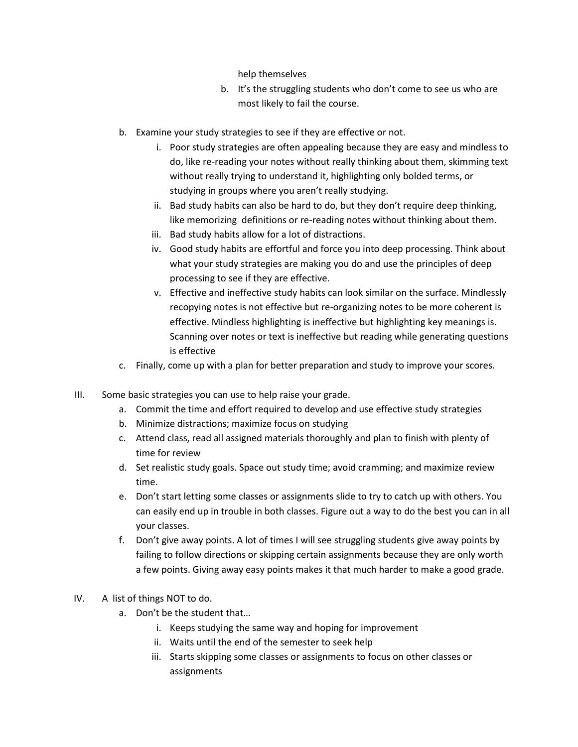help themselves

- b. It's the struggling students who don't come to see us who are most likely to fail the course.
- b. Examine your study strategies to see if they are effective or not.
	- i. Poor study strategies are often appealing because they are easy and mindless to do, like re-reading your notes without really thinking about them, skimming text without really trying to understand it, highlighting only bolded terms, or studying in groups where you aren't really studying.
	- ii. Bad study habits can also be hard to do, but they don't require deep thinking, like memorizing definitions or re-reading notes without thinking about them.
	- iii. Bad study habits allow for a lot of distractions.
	- iv. Good study habits are effortful and force you into deep processing. Think about what your study strategies are making you do and use the principles of deep processing to see if they are effective.
	- v. Effective and ineffective study habits can look similar on the surface. Mindlessly recopying notes is not effective but re-organizing notes to be more coherent is effective. Mindless highlighting is ineffective but highlighting key meanings is. Scanning over notes or text is ineffective but reading while generating questions is effective
- c. Finally, come up with a plan for better preparation and study to improve your scores.
- III. Some basic strategies you can use to help raise your grade.
	- a. Commit the time and effort required to develop and use effective study strategies
	- b. Minimize distractions; maximize focus on studying
	- c. Attend class, read all assigned materials thoroughly and plan to finish with plenty of time for review
	- d. Set realistic study goals. Space out study time; avoid cramming; and maximize review time.
	- e. Don't start letting some classes or assignments slide to try to catch up with others. You can easily end up in trouble in both classes. Figure out a way to do the best you can in all your classes.
	- f. Don't give away points. A lot of times I will see struggling students give away points by failing to follow directions or skipping certain assignments because they are only worth a few points. Giving away easy points makes it that much harder to make a good grade.
- IV. A list of things NOT to do.
	- a. Don't be the student that…
		- i. Keeps studying the same way and hoping for improvement
		- ii. Waits until the end of the semester to seek help
		- iii. Starts skipping some classes or assignments to focus on other classes or assignments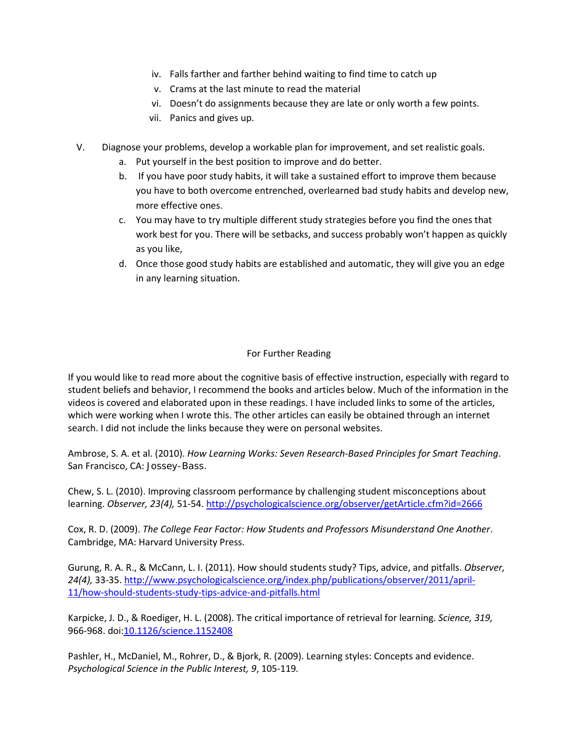- iv. Falls farther and farther behind waiting to find time to catch up
- v. Crams at the last minute to read the material
- vi. Doesn't do assignments because they are late or only worth a few points.
- vii. Panics and gives up.
- V. Diagnose your problems, develop a workable plan for improvement, and set realistic goals.
	- a. Put yourself in the best position to improve and do better.
	- b. If you have poor study habits, it will take a sustained effort to improve them because you have to both overcome entrenched, overlearned bad study habits and develop new, more effective ones.
	- c. You may have to try multiple different study strategies before you find the ones that work best for you. There will be setbacks, and success probably won't happen as quickly as you like,
	- d. Once those good study habits are established and automatic, they will give you an edge in any learning situation.

# For Further Reading

If you would like to read more about the cognitive basis of effective instruction, especially with regard to student beliefs and behavior, I recommend the books and articles below. Much of the information in the videos is covered and elaborated upon in these readings. I have included links to some of the articles, which were working when I wrote this. The other articles can easily be obtained through an internet search. I did not include the links because they were on personal websites.

Ambrose, S. A. et al. (2010). *How Learning Works: Seven Research-Based Principles for Smart Teaching*. San Francisco, CA: Jossey-Bass.

Chew, S. L. (2010). Improving classroom performance by challenging student misconceptions about learning. *Observer, 23(4),* 51-54[. http://psychologicalscience.org/observer/getArticle.cfm?id=2666](http://psychologicalscience.org/observer/getArticle.cfm?id=2666)

Cox, R. D. (2009). *The College Fear Factor: How Students and Professors Misunderstand One Another*. Cambridge, MA: Harvard University Press.

Gurung, R. A. R., & McCann, L. I. (2011). How should students study? Tips, advice, and pitfalls. *Observer, 24(4),* 33-35[. http://www.psychologicalscience.org/index.php/publications/observer/2011/april-](http://www.psychologicalscience.org/index.php/publications/observer/2011/april-11/how-should-students-study-tips-advice-and-pitfalls.html)[11/how-should-students-study-tips-advice-and-pitfalls.html](http://www.psychologicalscience.org/index.php/publications/observer/2011/april-11/how-should-students-study-tips-advice-and-pitfalls.html)

Karpicke, J. D., & Roediger, H. L. (2008). The critical importance of retrieval for learning. *Science, 319,* 966-968. doi[:10.1126/science.1152408](http://dx.doi.org/10.1126/science.1152408)

Pashler, H., McDaniel, M., Rohrer, D., & Bjork, R. (2009). Learning styles: Concepts and evidence. *Psychological Science in the Public Interest, 9*, 105-119*.*